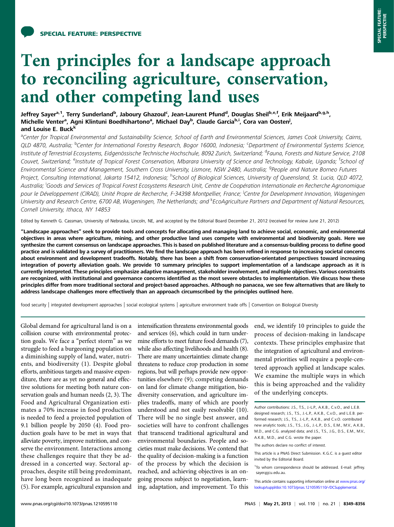# Ten principles for a landscape approach to reconciling agriculture, conservation, and other competing land uses

Jeffrey Sayer<sup>a, 1</sup>, Terry Sunderland<sup>b</sup>, Jaboury Ghazoul<sup>c</sup>, Jean-Laurent Pfund<sup>d</sup>, Douglas Sheil<sup>b,e,f</sup>, Erik Meijaard<sup>b,g,h</sup>, Michelle Venter<sup>a</sup>, Agni Klintuni Boedhihartono<sup>a</sup>, Michael Day<sup>b</sup>, Claude Garcia<sup>b,i</sup>, Cora van Oosten<sup>j</sup>, and Louise E. Buck<sup>k</sup>

<sup>a</sup>Center for Tropical Environmental and Sustainability Science, School of Earth and Environmental Sciences, James Cook University, Cairns, QLD 4870, Australia; <sup>b</sup>Center for International Forestry Research, Bogor 16000, Indonesia; <sup>c</sup>Department of Environmental Systems Science, Institute of Terrestrial Ecosystems, Eidgenössische Technische Hochschule, 8092 Zurich, Switzerland; <sup>d</sup>Fauna, Forests and Nature Service, 2108 Couvet, Switzerland; <sup>e</sup>Institute of Tropical Forest Conservation, Mbarara University of Science and Technology, Kabale, Uganda; <sup>t</sup>School of Environmental Science and Management, Southern Cross University, Lismore, NSW 2480, Australia; <sup>9</sup>People and Nature Borneo Futures Project, Consulting International, Jakarta 15412, Indonesia; <sup>h</sup>School of Biological Sciences, University of Queensland, St. Lucia, QLD 4072, Australia; <sup>i</sup>Goods and Services of Tropical Forest Ecosystems Research Unit, Centre de Coopération Internationale en Recherche Agronomique pour le Développement (CIRAD), Unité Propre de Recherche, F-34398 Montpellier, France; <sup>j</sup>Centre for Development Innovation, Wageningen University and Research Centre, 6700 AB, Wageningen, The Netherlands; and <sup>k</sup>EcoAgriculture Partners and Department of Natural Resources, Cornell University, Ithaca, NY 14853

Edited by Kenneth G. Cassman, University of Nebraska, Lincoln, NE, and accepted by the Editorial Board December 21, 2012 (received for review June 21, 2012)

"Landscape approaches" seek to provide tools and concepts for allocating and managing land to achieve social, economic, and environmental objectives in areas where agriculture, mining, and other productive land uses compete with environmental and biodiversity goals. Here we synthesize the current consensus on landscape approaches. This is based on published literature and a consensus-building process to define good practice and is validated by a survey of practitioners. We find the landscape approach has been refined in response to increasing societal concerns about environment and development tradeoffs. Notably, there has been a shift from conservation-orientated perspectives toward increasing integration of poverty alleviation goals. We provide 10 summary principles to support implementation of a landscape approach as it is currently interpreted. These principles emphasize adaptive management, stakeholder involvement, and multiple objectives.Various constraints are recognized, with institutional and governance concerns identified as the most severe obstacles to implementation. We discuss how these principles differ from more traditional sectoral and project-based approaches. Although no panacea, we see few alternatives that are likely to address landscape challenges more effectively than an approach circumscribed by the principles outlined here.

food security | integrated development approaches | social ecological systems | agriculture environment trade offs | Convention on Biological Diversity

Global demand for agricultural land is on a collision course with environmental protection goals. We face a "perfect storm" as we struggle to feed a burgeoning population on a diminishing supply of land, water, nutrients, and biodiversity (1). Despite global efforts, ambitious targets and massive expenditure, there are as yet no general and effective solutions for meeting both nature conservation goals and human needs (2, 3). The Food and Agricultural Organization estimates a 70% increase in food production is needed to feed a projected population of 9.1 billion people by 2050 (4). Food production goals have to be met in ways that alleviate poverty, improve nutrition, and conserve the environment. Interactions among these challenges require that they be addressed in a concerted way. Sectoral approaches, despite still being predominant, have long been recognized as inadequate (5). For example, agricultural expansion and intensification threatens environmental goods and services (6), which could in turn undermine efforts to meet future food demands (7), while also affecting livelihoods and health (8). There are many uncertainties: climate change threatens to reduce crop production in some regions, but will perhaps provide new opportunities elsewhere (9); competing demands on land for climate change mitigation, biodiversity conservation, and agriculture implies tradeoffs, many of which are poorly understood and not easily resolvable (10). There will be no single best answer, and societies will have to confront challenges that transcend traditional agricultural and environmental boundaries. People and societies must make decisions. We contend that the quality of decision-making is a function of the process by which the decision is reached, and achieving objectives is an ongoing process subject to negotiation, learning, adaptation, and improvement. To this

end, we identify 10 principles to guide the process of decision-making in landscape contexts. These principles emphasize that the integration of agricultural and environmental priorities will require a people-centered approach applied at landscape scales. We examine the multiple ways in which this is being approached and the validity of the underlying concepts.

Author contributions: J.S., T.S., J.-L.P., A.K.B., C.v.O., and L.E.B. designed research; J.S., T.S., J.-L.P., A.K.B., C.v.O., and L.E.B. performed research; J.S., T.S., J.-L.P., A.K.B., and C.v.O. contributed new analytic tools; J.S., T.S., J.G., J.-L.P., D.S., E.M., M.V., A.K.B., M.D., and C.G. analyzed data; and J.S., T.S., J.G., D.S., E.M., M.V., A.K.B., M.D., and C.G. wrote the paper.

The authors declare no conflict of interest.

This article contains supporting information online at [www.pnas.org/](http://www.pnas.org/lookup/suppl/doi:10.1073/pnas.1210595110/-/DCSupplemental) [lookup/suppl/doi:10.1073/pnas.1210595110/-/DCSupplemental](http://www.pnas.org/lookup/suppl/doi:10.1073/pnas.1210595110/-/DCSupplemental).

This article is a PNAS Direct Submission. K.G.C. is a guest editor invited by the Editorial Board.

<sup>&</sup>lt;sup>1</sup>To whom correspondence should be addressed. E-mail: [jeffrey.](mailto:jeffrey.sayer@jcu.edu.au) [sayer@jcu.edu.au](mailto:jeffrey.sayer@jcu.edu.au).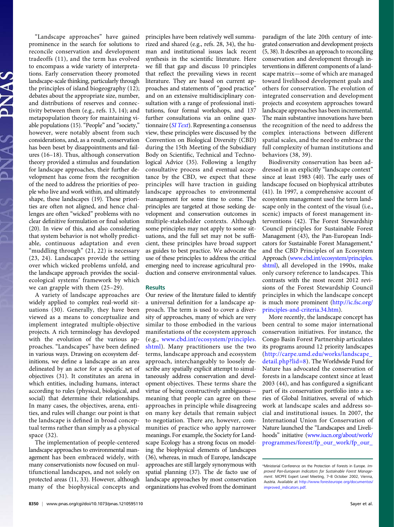"Landscape approaches" have gained prominence in the search for solutions to reconcile conservation and development tradeoffs (11), and the term has evolved to encompass a wide variety of interpretations. Early conservation theory promoted landscape-scale thinking, particularly through the principles of island biogeography (12); debates about the appropriate size, number, and distributions of reserves and connectivity between them (e.g., refs. 13, 14); and metapopulation theory for maintaining viable populations (15). "People" and "society," however, were notably absent from such considerations, and, as a result, conservation has been beset by disappointments and failures (16–18). Thus, although conservation theory provided a stimulus and foundation for landscape approaches, their further development has come from the recognition of the need to address the priorities of people who live and work within, and ultimately shape, these landscapes (19). These priorities are often not aligned, and hence challenges are often "wicked" problems with no clear definitive formulation or final solution (20). In view of this, and also considering that system behavior is not wholly predictable, continuous adaptation and even "muddling through" (21, 22) is necessary (23, 24). Landscapes provide the setting over which wicked problems unfold, and the landscape approach provides the socialecological systems' framework by which we can grapple with them (25–29).

A variety of landscape approaches are widely applied to complex real-world situations (30). Generally, they have been viewed as a means to conceptualize and implement integrated multiple-objective projects. A rich terminology has developed with the evolution of the various approaches. "Landscapes" have been defined in various ways. Drawing on ecosystem definitions, we define a landscape as an area delineated by an actor for a specific set of objectives (31). It constitutes an arena in which entities, including humans, interact according to rules (physical, biological, and social) that determine their relationships. In many cases, the objectives, arena, entities, and rules will change: our point is that the landscape is defined in broad conceptual terms rather than simply as a physical space (32).

The implementation of people-centered landscape approaches to environmental management has been embraced widely, with many conservationists now focused on multifunctional landscapes, and not solely on protected areas (11, 33). However, although many of the biophysical concepts and

principles have been relatively well summarized and shared (e.g., refs. 28, 34), the human and institutional issues lack recent synthesis in the scientific literature. Here we fill that gap and discuss 10 principles that reflect the prevailing views in recent literature. They are based on current approaches and statements of "good practice" and on an extensive multidisciplinary consultation with a range of professional institutions, four formal workshops, and 137 further consultations via an online ques-tionnaire ([SI Text](http://www.pnas.org/lookup/suppl/doi:10.1073/pnas.1210595110/-/DCSupplemental/pnas.201210595SI.pdf?targetid=nameddest=STXT)). Representing a consensus view, these principles were discussed by the Convention on Biological Diversity (CBD) during the 15th Meeting of the Subsidiary Body on Scientific, Technical and Technological Advice (35). Following a lengthy consultative process and eventual acceptance by the CBD, we expect that these principles will have traction in guiding landscape approaches to environmental management for some time to come. The principles are targeted at those seeking development and conservation outcomes in multiple-stakeholder contexts. Although some principles may not apply to some situations, and the full set may not be sufficient, these principles have broad support as guides to best practice. We advocate the use of these principles to address the critical emerging need to increase agricultural production and conserve environmental values.

#### **Results**

Our review of the literature failed to identify a universal definition for a landscape approach. The term is used to cover a diversity of approaches, many of which are very similar to those embodied in the various manifestations of the ecosystem approach (e.g., [www.cbd.int/ecosystem/principles.](http://www.cbd.int/ecosystem/principles.shtml) [shtml](http://www.cbd.int/ecosystem/principles.shtml)). Many practitioners use the two terms, landscape approach and ecosystem approach, interchangeably to loosely describe any spatially explicit attempt to simultaneously address conservation and development objectives. These terms share the virtue of being constructively ambiguous meaning that people can agree on these approaches in principle while disagreeing on many key details that remain subject to negotiation. There are, however, communities of practice who apply narrower meanings. For example, the Society for Landscape Ecology has a strong focus on modeling the biophysical elements of landscapes (36), whereas, in much of Europe, landscape approaches are still largely synonymous with spatial planning (37). The de facto use of landscape approaches by most conservation organizations has evolved from the dominant

paradigm of the late 20th century of integrated conservation and development projects (5, 38). It describes an approach to reconciling conservation and development through interventions in different components of a landscape matrix—some of which are managed toward livelihood development goals and others for conservation. The evolution of integrated conservation and development projects and ecosystem approaches toward landscape approaches has been incremental. The main substantive innovations have been the recognition of the need to address the complex interactions between different spatial scales, and the need to embrace the full complexity of human institutions and behaviors (38, 39).

Biodiversity conservation has been addressed in an explicitly "landscape context" since at least 1983 (40). The early uses of landscape focused on biophysical attributes (41). In 1997, a comprehensive account of ecosystem management used the term landscape only in the context of the visual (i.e., scenic) impacts of forest management interventions (42). The Forest Stewardship Council principles for Sustainable Forest Management (43), the Pan-European Indicators for Sustainable Forest Management,\* and the CBD Principles of an Ecosystem Approach ([www.cbd.int/ecosystem/principles.](http://www.cbd.int/ecosystem/principles.shtml) [shtml\)](http://www.cbd.int/ecosystem/principles.shtml), all developed in the 1990s, make only cursory reference to landscapes. This contrasts with the most recent 2012 revisions of the Forest Stewardship Council principles in which the landscape concept is much more prominent ([http://ic.fsc.org/](http://ic.fsc.org/principles-and-criteria.34.htm) [principles-and-criteria.34.htm\)](http://ic.fsc.org/principles-and-criteria.34.htm).

More recently, the landscape concept has been central to some major international conservation initiatives. For instance, the Congo Basin Forest Partnership articulates its programs around 12 priority landscapes ([http://carpe.umd.edu/works/landscape\\_](http://carpe.umd.edu/works/landscape_detail.php?lid=8) [detail.php?lid=8\)](http://carpe.umd.edu/works/landscape_detail.php?lid=8). The Worldwide Fund for Nature has advocated the conservation of forests in a landscape context since at least 2003 (44), and has configured a significant part of its conservation portfolio into a series of Global Initiatives, several of which work at landscape scales and address social and institutional issues. In 2007, the International Union for Conservation of Nature launched the "Landscapes and Livelihoods" initiative [\(www.iucn.org/about/work/](http://www.iucn.org/about/work/programmes/forest/fp_our_work/fp_our_work_initiatives/fp_our_work_ll/) [programmes/forest/fp\\_our\\_work/fp\\_our\\_](http://www.iucn.org/about/work/programmes/forest/fp_our_work/fp_our_work_initiatives/fp_our_work_ll/)

<sup>\*</sup>Ministerial Conference on the Protection of Forests in Europe. Improved Pan-European Indicators for Sustainable Forest Management. MCPFE Expert Level Meeting, 7–8 October 2002, Vienna, Austria. Available at [http://www.foresteurope.org/documentos/](http://www.foresteurope.org/documentos/improved_indicators.pdf) [improved\\_indicators.pdf.](http://www.foresteurope.org/documentos/improved_indicators.pdf)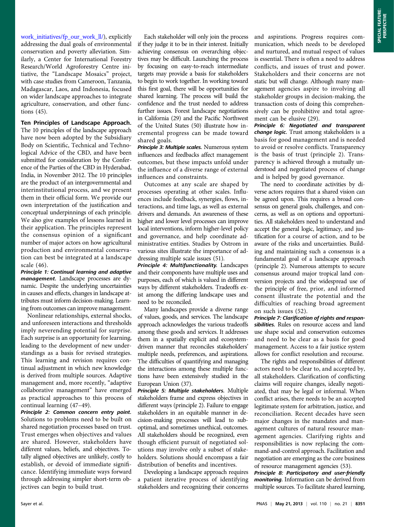[work\\_initiatives/fp\\_our\\_work\\_ll/](http://www.iucn.org/about/work/programmes/forest/fp_our_work/fp_our_work_initiatives/fp_our_work_ll/)), explicitly addressing the dual goals of environmental conservation and poverty alleviation. Similarly, a Center for International Forestry Research/World Agroforestry Centre initiative, the "Landscape Mosaics" project, with case studies from Cameroon, Tanzania, Madagascar, Laos, and Indonesia, focused on wider landscape approaches to integrate agriculture, conservation, and other functions (45).

Ten Principles of Landscape Approach.

The 10 principles of the landscape approach have now been adopted by the Subsidiary Body on Scientific, Technical and Technological Advice of the CBD, and have been submitted for consideration by the Conference of the Parties of the CBD in Hyderabad, India, in November 2012. The 10 principles are the product of an intergovernmental and interinstitutional process, and we present them in their official form. We provide our own interpretation of the justification and conceptual underpinnings of each principle. We also give examples of lessons learned in their application. The principles represent the consensus opinion of a significant number of major actors on how agricultural production and environmental conservation can best be integrated at a landscape scale (46).

Principle 1: Continual learning and adaptive management. Landscape processes are dynamic. Despite the underlying uncertainties in causes and effects, changes in landscape attributes must inform decision-making. Learning from outcomes can improve management.

Nonlinear relationships, external shocks, and unforeseen interactions and thresholds imply neverending potential for surprise. Each surprise is an opportunity for learning, leading to the development of new understandings as a basis for revised strategies. This learning and revision requires continual adjustment in which new knowledge is derived from multiple sources. Adaptive management and, more recently, "adaptive collaborative management" have emerged as practical approaches to this process of continual learning (47–49).

Principle 2: Common concern entry point. Solutions to problems need to be built on shared negotiation processes based on trust. Trust emerges when objectives and values are shared. However, stakeholders have different values, beliefs, and objectives. Totally aligned objectives are unlikely, costly to establish, or devoid of immediate significance. Identifying immediate ways forward through addressing simpler short-term objectives can begin to build trust.

Each stakeholder will only join the process if they judge it to be in their interest. Initially achieving consensus on overarching objectives may be difficult. Launching the process by focusing on easy-to-reach intermediate targets may provide a basis for stakeholders to begin to work together. In working toward this first goal, there will be opportunities for shared learning. The process will build the confidence and the trust needed to address further issues. Forest landscape negotiations in California (29) and the Pacific Northwest of the United States (50) illustrate how incremental progress can be made toward shared goals.

Principle 3: Multiple scales. Numerous system influences and feedbacks affect management outcomes, but these impacts unfold under the influence of a diverse range of external influences and constraints.

Outcomes at any scale are shaped by processes operating at other scales. Influences include feedback, synergies, flows, interactions, and time lags, as well as external drivers and demands. An awareness of these higher and lower level processes can improve local interventions, inform higher-level policy and governance, and help coordinate administrative entities. Studies by Ostrom in various sites illustrate the importance of addressing multiple scale issues (51).

Principle 4: Multifunctionality. Landscapes and their components have multiple uses and purposes, each of which is valued in different ways by different stakeholders. Tradeoffs exist among the differing landscape uses and need to be reconciled.

Many landscapes provide a diverse range of values, goods, and services. The landscape approach acknowledges the various tradeoffs among these goods and services. It addresses them in a spatially explicit and ecosystemdriven manner that reconciles stakeholders' multiple needs, preferences, and aspirations. The difficulties of quantifying and managing the interactions among these multiple functions have been extensively studied in the European Union (37).

Principle 5: Multiple stakeholders. Multiple stakeholders frame and express objectives in different ways (principle 2). Failure to engage stakeholders in an equitable manner in decision-making processes will lead to suboptimal, and sometimes unethical, outcomes. All stakeholders should be recognized, even though efficient pursuit of negotiated solutions may involve only a subset of stakeholders. Solutions should encompass a fair distribution of benefits and incentives.

Developing a landscape approach requires a patient iterative process of identifying stakeholders and recognizing their concerns

and aspirations. Progress requires communication, which needs to be developed and nurtured, and mutual respect of values is essential. There is often a need to address conflicts, and issues of trust and power. Stakeholders and their concerns are not static but will change. Although many management agencies aspire to involving all stakeholder groups in decision-making, the transaction costs of doing this comprehensively can be prohibitive and total agreement can be elusive (29).

Principle 6: Negotiated and transparent change logic. Trust among stakeholders is a basis for good management and is needed to avoid or resolve conflicts. Transparency is the basis of trust (principle 2). Transparency is achieved through a mutually understood and negotiated process of change and is helped by good governance.

The need to coordinate activities by diverse actors requires that a shared vision can be agreed upon. This requires a broad consensus on general goals, challenges, and concerns, as well as on options and opportunities. All stakeholders need to understand and accept the general logic, legitimacy, and justification for a course of action, and to be aware of the risks and uncertainties. Building and maintaining such a consensus is a fundamental goal of a landscape approach (principle 2). Numerous attempts to secure consensus around major tropical land conversion projects and the widespread use of the principle of free, prior, and informed consent illustrate the potential and the difficulties of reaching broad agreement on such issues (52).

Principle 7: Clarification of rights and responsibilities. Rules on resource access and land use shape social and conservation outcomes and need to be clear as a basis for good management. Access to a fair justice system allows for conflict resolution and recourse.

The rights and responsibilities of different actors need to be clear to, and accepted by, all stakeholders. Clarification of conflicting claims will require changes, ideally negotiated, that may be legal or informal. When conflict arises, there needs to be an accepted legitimate system for arbitration, justice, and reconciliation. Recent decades have seen major changes in the mandates and management cultures of natural resource management agencies. Clarifying rights and responsibilities is now replacing the command-and-control approach. Facilitation and negotiation are emerging as the core business of resource management agencies (53).

Principle 8: Participatory and user-friendly monitoring. Information can be derived from multiple sources. To facilitate shared learning,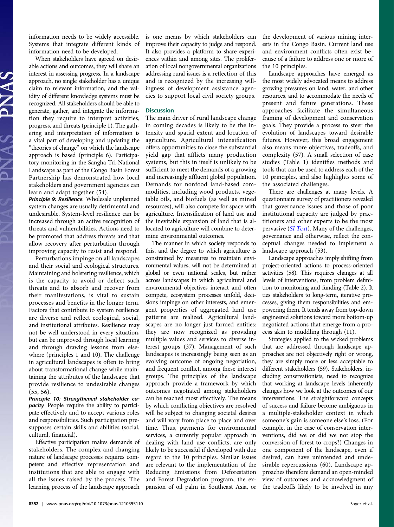information needs to be widely accessible. Systems that integrate different kinds of information need to be developed.

When stakeholders have agreed on desirable actions and outcomes, they will share an interest in assessing progress. In a landscape approach, no single stakeholder has a unique claim to relevant information, and the validity of different knowledge systems must be recognized. All stakeholders should be able to generate, gather, and integrate the information they require to interpret activities, progress, and threats (principle 1). The gathering and interpretation of information is a vital part of developing and updating the "theories of change" on which the landscape approach is based (principle 6). Participatory monitoring in the Sangha Tri-National Landscape as part of the Congo Basin Forest Partnership has demonstrated how local stakeholders and government agencies can learn and adapt together (54).

Principle 9: Resilience. Wholesale unplanned system changes are usually detrimental and undesirable. System-level resilience can be increased through an active recognition of threats and vulnerabilities. Actions need to be promoted that address threats and that allow recovery after perturbation through improving capacity to resist and respond.

Perturbations impinge on all landscapes and their social and ecological structures. Maintaining and bolstering resilience, which is the capacity to avoid or deflect such threats and to absorb and recover from their manifestations, is vital to sustain processes and benefits in the longer term. Factors that contribute to system resilience are diverse and reflect ecological, social, and institutional attributes. Resilience may not be well understood in every situation, but can be improved through local learning and through drawing lessons from elsewhere (principles 1 and 10). The challenge in agricultural landscapes is often to bring about transformational change while maintaining the attributes of the landscape that provide resilience to undesirable changes (55, 56).

Principle 10: Strengthened stakeholder capacity. People require the ability to participate effectively and to accept various roles and responsibilities. Such participation presupposes certain skills and abilities (social, cultural, financial).

Effective participation makes demands of stakeholders. The complex and changing nature of landscape processes requires competent and effective representation and institutions that are able to engage with all the issues raised by the process. The learning process of the landscape approach

is one means by which stakeholders can improve their capacity to judge and respond. It also provides a platform to share experiences within and among sites. The proliferation of local nongovernmental organizations addressing rural issues is a reflection of this and is recognized by the increasing willingness of development assistance agencies to support local civil society groups.

## **Discussion**

The main driver of rural landscape change in coming decades is likely to be the intensity and spatial extent and location of agriculture. Agricultural intensification offers opportunities to close the substantial yield gap that afflicts many production systems, but this in itself is unlikely to be sufficient to meet the demands of a growing and increasingly affluent global population. Demands for nonfood land-based commodities, including wood products, vegetable oils, and biofuels (as well as mined resources), will also compete for space with agriculture. Intensification of land use and the inevitable expansion of land that is allocated to agriculture will combine to determine environmental outcomes.

The manner in which society responds to this, and the degree to which agriculture is constrained by measures to maintain environmental values, will not be determined at global or even national scales, but rather across landscapes in which agricultural and environmental objectives interact and often compete, ecosystem processes unfold, decisions impinge on other interests, and emergent properties of aggregated land use patterns are realized. Agricultural landscapes are no longer just farmed entities: they are now recognized as providing multiple values and services to diverse interest groups (37). Management of such landscapes is increasingly being seen as an evolving outcome of ongoing negotiation, and frequent conflict, among these interest groups. The principles of the landscape approach provide a framework by which outcomes negotiated among stakeholders can be reached most effectively. The means by which conflicting objectives are resolved will be subject to changing societal desires and will vary from place to place and over time. Thus, payments for environmental services, a currently popular approach in dealing with land use conflicts, are only likely to be successful if developed with due regard to the 10 principles. Similar issues are relevant to the implementation of the Reducing Emissions from Deforestation and Forest Degradation program, the expansion of oil palm in Southeast Asia, or

the development of various mining interests in the Congo Basin. Current land use and environment conflicts often exist because of a failure to address one or more of the 10 principles.

Landscape approaches have emerged as the most widely advocated means to address growing pressures on land, water, and other resources, and to accommodate the needs of present and future generations. These approaches facilitate the simultaneous framing of development and conservation goals. They provide a process to steer the evolution of landscapes toward desirable futures. However, this broad engagement also means more objectives, tradeoffs, and complexity (57). A small selection of case studies (Table 1) identifies methods and tools that can be used to address each of the 10 principles, and also highlights some of the associated challenges.

There are challenges at many levels. A questionnaire survey of practitioners revealed that governance issues and those of poor institutional capacity are judged by practitioners and other experts to be the most pervasive ([SI Text](http://www.pnas.org/lookup/suppl/doi:10.1073/pnas.1210595110/-/DCSupplemental/pnas.201210595SI.pdf?targetid=nameddest=STXT)). Many of the challenges, governance and otherwise, reflect the conceptual changes needed to implement a landscape approach (53).

Landscape approaches imply shifting from project-oriented actions to process-oriented activities (58). This requires changes at all levels of interventions, from problem definition to monitoring and funding (Table 2). It ties stakeholders to long-term, iterative processes, giving them responsibilities and empowering them. It tends away from top-down engineered solutions toward more bottom-up negotiated actions that emerge from a process akin to muddling through (11).

Strategies applied to the wicked problems that are addressed through landscape approaches are not objectively right or wrong, they are simply more or less acceptable to different stakeholders (59). Stakeholders, including conservationists, need to recognize that working at landscape levels inherently changes how we look at the outcomes of our interventions. The straightforward concepts of success and failure become ambiguous in a multiple-stakeholder context in which someone's gain is someone else's loss. (For example, in the case of conservation interventions, did we or did we not stop the conversion of forest to crops?) Changes in one component of the landscape, even if desired, can have unintended and undesirable repercussions (60). Landscape approaches therefore demand an open-minded view of outcomes and acknowledgment of the tradeoffs likely to be involved in any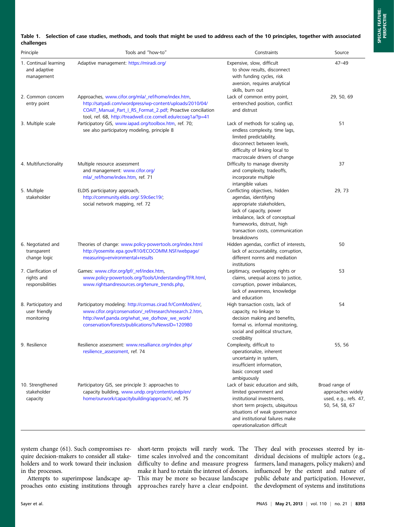## Table 1. Selection of case studies, methods, and tools that might be used to address each of the 10 principles, together with associated challenges

| Principle                                             | Tools and "how-to"                                                                                                                                                                                                                             | Constraints                                                                                                                                                                                                                        | Source                                                                         |
|-------------------------------------------------------|------------------------------------------------------------------------------------------------------------------------------------------------------------------------------------------------------------------------------------------------|------------------------------------------------------------------------------------------------------------------------------------------------------------------------------------------------------------------------------------|--------------------------------------------------------------------------------|
| 1. Continual learning<br>and adaptive<br>management   | Adaptive management: https://miradi.org/                                                                                                                                                                                                       | Expensive, slow, difficult<br>to show results, disconnect<br>with funding cycles, risk<br>aversion, requires analytical<br>skills, burn out                                                                                        | $47 - 49$                                                                      |
| 2. Common concern<br>entry point                      | Approaches, www.cifor.org/mla/_ref/home/index.htm,<br>http://satyadi.com/wordpress/wp-content/uploads/2010/04/<br>COAIT_Manual_Part_I_RS_Format_2.pdf; Proactive conciliation<br>tool, ref. 68, http://treadwell.cce.cornell.edu/ecoag1a/?p=41 | Lack of common entry point,<br>entrenched position, conflict<br>and distrust                                                                                                                                                       | 29, 50, 69                                                                     |
| 3. Multiple scale                                     | Participatory GIS, www.iapad.org/toolbox.htm, ref. 70;<br>see also participatory modeling, principle 8                                                                                                                                         | Lack of methods for scaling up,<br>endless complexity, time lags,<br>limited predictability,<br>disconnect between levels,<br>difficulty of linking local to<br>macroscale drivers of change                                       | 51                                                                             |
| 4. Multifunctionality                                 | Multiple resource assessment<br>and management: www.cifor.org/<br>mla/_ref/home/index.htm, ref. 71                                                                                                                                             | Difficulty to manage diversity<br>and complexity, tradeoffs,<br>incorporate multiple<br>intangible values                                                                                                                          | 37                                                                             |
| 5. Multiple<br>stakeholder                            | ELDIS participatory approach,<br>http://community.eldis.org/.59c6ec19/;<br>social network mapping, ref. 72                                                                                                                                     | Conflicting objectives, hidden<br>agendas, identifying<br>appropriate stakeholders,<br>lack of capacity, power<br>imbalance, lack of conceptual<br>frameworks, distrust, high<br>transaction costs, communication<br>breakdowns    | 29, 73                                                                         |
| 6. Negotiated and<br>transparent<br>change logic      | Theories of change: www.policy-powertools.org/index.html<br>http://yosemite.epa.gov/R10/ECOCOMM.NSF/webpage/<br>measuring+environmental+results                                                                                                | Hidden agendas, conflict of interests,<br>lack of accountability, corruption,<br>different norms and mediation<br>institutions                                                                                                     | 50                                                                             |
| 7. Clarification of<br>rights and<br>responsibilities | Games: www.cifor.org/lpf/_ref/index.htm,<br>www.policy-powertools.org/Tools/Understanding/TFR.html,<br>www.rightsandresources.org/tenure_trends.php,                                                                                           | Legitimacy, overlapping rights or<br>claims, unequal access to justice,<br>corruption, power imbalances,<br>lack of awareness, knowledge<br>and education                                                                          | 53                                                                             |
| 8. Participatory and<br>user friendly<br>monitoring   | Participatory modeling: http://cormas.cirad.fr/ComMod/en/,<br>www.cifor.org/conservation/_ref/research/research.2.htm,<br>http://wwf.panda.org/what_we_do/how_we_work/<br>conservation/forests/publications/?uNewsID=120980                    | High transaction costs, lack of<br>capacity, no linkage to<br>decision making and benefits,<br>formal vs. informal monitoring,<br>social and political structure,<br>credibility                                                   | 54                                                                             |
| 9. Resilience                                         | Resilience assessment: www.resalliance.org/index.php/<br>resilience_assessment, ref. 74                                                                                                                                                        | Complexity, difficult to<br>operationalize, inherent<br>uncertainty in system,<br>insufficient information,<br>basic concept used<br>ambiguously                                                                                   | 55, 56                                                                         |
| 10. Strengthened<br>stakeholder<br>capacity           | Participatory GIS, see principle 3: approaches to<br>capacity building, www.undp.org/content/undp/en/<br>home/ourwork/capacitybuilding/approach/, ref. 75                                                                                      | Lack of basic education and skills,<br>limited government and<br>institutional investments,<br>short term projects, ubiquitous<br>situations of weak governance<br>and institutional failures make<br>operationalization difficult | Broad range of<br>approaches widely<br>used, e.g., refs. 47,<br>50, 54, 58, 67 |

system change (61). Such compromises require decision-makers to consider all stakeholders and to work toward their inclusion in the processes.

Attempts to superimpose landscape approaches onto existing institutions through

short-term projects will rarely work. The time scales involved and the concomitant difficulty to define and measure progress make it hard to retain the interest of donors. This may be more so because landscape approaches rarely have a clear endpoint.

They deal with processes steered by individual decisions of multiple actors (e.g., farmers, land managers, policy makers) and influenced by the extent and nature of public debate and participation. However, the development of systems and institutions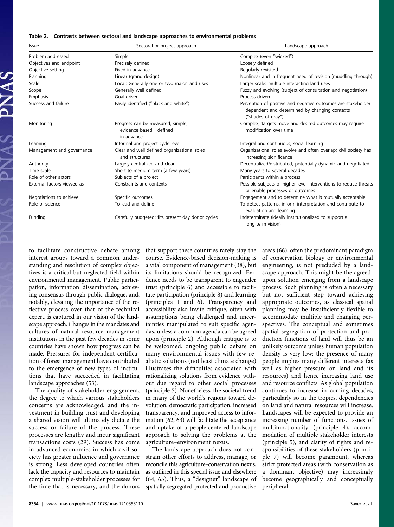### Table 2. Contrasts between sectoral and landscape approaches to environmental problems

| Issue                      | Sectoral or project approach                                              | Landscape approach                                                                                                                  |  |
|----------------------------|---------------------------------------------------------------------------|-------------------------------------------------------------------------------------------------------------------------------------|--|
| Problem addressed          | Simple                                                                    | Complex (even "wicked")                                                                                                             |  |
| Objectives and endpoint    | Precisely defined                                                         | Loosely defined                                                                                                                     |  |
| Objective setting          | Fixed in advance                                                          | Regularly revisited                                                                                                                 |  |
| Planning                   | Linear (grand design)                                                     | Nonlinear and in frequent need of revision (muddling through)                                                                       |  |
| Scale                      | Local: Generally one or two major land uses                               | Larger scale: multiple interacting land uses                                                                                        |  |
| Scope                      | Generally well defined                                                    | Fuzzy and evolving (subject of consultation and negotiation)                                                                        |  |
| Emphasis                   | Goal-driven                                                               | Process-driven                                                                                                                      |  |
| Success and failure        | Easily identified ("black and white")                                     | Perception of positive and negative outcomes are stakeholder<br>dependent and determined by changing contexts<br>("shades of gray") |  |
| Monitoring                 | Progress can be measured, simple,<br>evidence-based-defined<br>in advance | Complex, targets move and desired outcomes may require<br>modification over time                                                    |  |
| Learning                   | Informal and project cycle level                                          | Integral and continuous, social learning                                                                                            |  |
| Management and governance  | Clear and well defined organizational roles<br>and structures             | Organizational roles evolve and often overlap; civil society has<br>increasing significance                                         |  |
| Authority                  | Largely centralized and clear                                             | Decentralized/distributed, potentially dynamic and negotiated                                                                       |  |
| Time scale                 | Short to medium term (a few years)                                        | Many years to several decades                                                                                                       |  |
| Role of other actors       | Subjects of a project                                                     | Participants within a process                                                                                                       |  |
| External factors viewed as | Constraints and contexts                                                  | Possible subjects of higher level interventions to reduce threats<br>or enable processes or outcomes                                |  |
| Negotiations to achieve    | Specific outcomes                                                         | Engagement and to determine what is mutually acceptable                                                                             |  |
| Role of science            | To lead and define                                                        | To detect patterns, inform interpretation and contribute to<br>evaluation and learning                                              |  |
| Funding                    | Carefully budgeted; fits present-day donor cycles                         | Indeterminate (ideally institutionalized to support a<br>long-term vision)                                                          |  |

to facilitate constructive debate among interest groups toward a common understanding and resolution of complex objectives is a critical but neglected field within environmental management. Public participation, information dissemination, achieving consensus through public dialogue, and, notably, elevating the importance of the reflective process over that of the technical expert, is captured in our vision of the landscape approach. Changes in the mandates and cultures of natural resource management institutions in the past few decades in some countries have shown how progress can be made. Pressures for independent certification of forest management have contributed to the emergence of new types of institutions that have succeeded in facilitating landscape approaches (53).

 $A$ S $\overline{A}$ 

The quality of stakeholder engagement, the degree to which various stakeholders concerns are acknowledged, and the investment in building trust and developing a shared vision will ultimately dictate the success or failure of the process. These processes are lengthy and incur significant transactions costs (29). Success has come in advanced economies in which civil society has greater influence and governance is strong. Less developed countries often lack the capacity and resources to maintain complex multiple-stakeholder processes for the time that is necessary, and the donors

that support these countries rarely stay the course. Evidence-based decision-making is a vital component of management (38), but its limitations should be recognized. Evidence needs to be transparent to engender trust (principle 6) and accessible to facilitate participation (principle 8) and learning (principles 1 and 6). Transparency and accessibility also invite critique, often with assumptions being challenged and uncertainties manipulated to suit specific agendas, unless a common agenda can be agreed upon (principle 2). Although critique is to be welcomed, ongoing public debate on many environmental issues with few realistic solutions (not least climate change) illustrates the difficulties associated with rationalizing solutions from evidence without due regard to other social processes (principle 5). Nonetheless, the societal trend in many of the world's regions toward devolution, democratic participation, increased transparency, and improved access to information (62, 63) will facilitate the acceptance and uptake of a people-centered landscape approach to solving the problems at the agriculture–environment nexus.

The landscape approach does not constrain other efforts to address, manage, or reconcile this agriculture–conservation nexus, as outlined in this special issue and elsewhere (64, 65). Thus, a "designer" landscape of spatially segregated protected and productive

areas (66), often the predominant paradigm of conservation biology or environmental engineering, is not precluded by a landscape approach. This might be the agreedupon solution emerging from a landscape process. Such planning is often a necessary but not sufficient step toward achieving appropriate outcomes, as classical spatial planning may be insufficiently flexible to accommodate multiple and changing perspectives. The conceptual and sometimes spatial segregation of protection and production functions of land will thus be an unlikely outcome unless human population density is very low: the presence of many people implies many different interests (as well as higher pressure on land and its resources) and hence increasing land use and resource conflicts. As global population continues to increase in coming decades, particularly so in the tropics, dependencies on land and natural resources will increase. Landscapes will be expected to provide an increasing number of functions. Issues of multifunctionality (principle 4), accommodation of multiple stakeholder interests (principle 5), and clarity of rights and responsibilities of these stakeholders (principle 7) will become paramount, whereas strict protected areas (with conservation as a dominant objective) may increasingly become geographically and conceptually peripheral.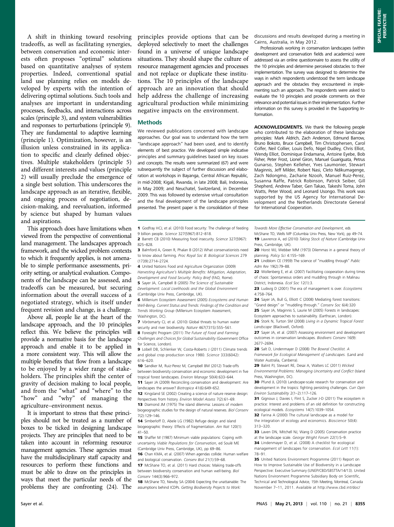SPECIAL FEATURE:<br>PERSPECTIVE SPECIAL FEATURE: PERSPECTIVE

A shift in thinking toward resolving tradeoffs, as well as facilitating synergies, between conservation and economic interests often proposes "optimal" solutions based on quantitative analyses of system properties. Indeed, conventional spatial land use planning relies on models developed by experts with the intention of delivering optimal solutions. Such tools and analyses are important in understanding processes, feedbacks, and interactions across scales (principle 3), and system vulnerabilities and responses to perturbations (principle 9). They are fundamental to adaptive learning (principle 1). Optimization, however, is an illusion unless constrained in its application to specific and clearly defined objectives. Multiple stakeholders (principle 5) and different interests and values (principle 2) will usually preclude the emergence of a single best solution. This underscores the landscape approach as an iterative, flexible, and ongoing process of negotiation, decision-making, and reevaluation, informed by science but shaped by human values and aspirations.

This approach does have limitations when viewed from the perspective of conventional land management. The landscapes approach framework, and the wicked problem contexts to which it frequently applies, is not amenable to simple performance assessments, priority setting, or analytical evaluation. Components of the landscape can be assessed, and tradeoffs can be measured, but securing information about the overall success of a negotiated strategy, which is itself under frequent revision and change, is a challenge.

Above all, people lie at the heart of the landscape approach, and the 10 principles reflect this. We believe the principles will provide a normative basis for the landscape approach and enable it to be applied in a more consistent way. This will allow the multiple benefits that flow from a landscape to be enjoyed by a wider range of stakeholders. The principles shift the center of gravity of decision making to local people, and from the "what" and "where" to the "how" and "why" of managing the agriculture–environment nexus.

It is important to stress that these principles should not be treated as a number of boxes to be ticked in designing landscape projects. They are principles that need to be taken into account in reforming resource management agencies. These agencies must have the multidisciplinary staff capacity and resources to perform these functions and must be able to draw on the principles in ways that meet the particular needs of the problems they are confronting (24). The principles provide options that can be deployed selectively to meet the challenges found in a universe of unique landscape situations. They should shape the culture of resource management agencies and processes and not replace or duplicate these institutions. The 10 principles of the landscape approach are an innovation that should help address the challenge of increasing agricultural production while minimizing negative impacts on the environment.

## **Methods**

We reviewed publications concerned with landscape approaches. Our goal was to understand how the term "landscape approach" had been used, and to identify elements of best practice. We developed simple indicative principles and summary guidelines based on key issues and concepts. The results were summarized (67) and were subsequently the subject of further discussion and elaboration at workshops in Bayanga, Central African Republic, in mid-2008; Kigali, Rwanda, in late 2008; Bali, Indonesia, in May 2009; and Neuchatel, Switzerland, in December 2009. This was followed by extensive virtual consultation and the final development of the landscape principles presented. The present paper is the consolidation of these

discussions and results developed during a meeting in Cairns, Australia, in May 2012.

Professionals working in conservation landscapes (within development and conservation fields and academics) were addressed via an online questionnaire to assess the utility of the 10 principles and determine perceived obstacles to their implementation. The survey was designed to determine the ways in which respondents understood the term landscape approach and the obstacles they encountered in implementing such an approach. The respondents were asked to evaluate the 10 principles and provide comments on their relevance and potential issues in their implementation. Further information on this survey is provided in the Supporting Information.

**ACKNOWLEDGMENTS.** We thank the following people who contributed to the elaboration of these landscape principles: Mark Aldrich, Zach Anderson, Edmund Barrow, Bruno Bokoto, Bruce Campbell, Tim Christophersen, Carol Colfer, Neil Collier, Louis Defo, Nigel Dudley, Chris Elliot, Wendy Elliot, Dominique Endamana, Antoine Eyebe, Bob Fisher, Peter Frost, Lionel Giron, Manuel Guariguata, Petrus Gunarso, Stephen Kelleher, Yves Laumonier, Stewart Maginnis, Jeff Milder, Robert Nasi, Cleto Ndikumagenge, Zach Ndongmo, Zacharie Nzooh, Manuel Ruiz-Perez, Susanna Raffe, Patrick Robinson, Patrick Seiber, Gill Shepherd, Andrew Taber, Gen Takao, Takeshi Toma, John Watts, Peter Wood, and Leonard Usongo. This work was supported by the US Agency for International Development and the Netherlands Directorate General for International Cooperation.

- 1 Godfray HCJ, et al. (2010) Food security: The challenge of feeding 9 billion people. Science 327(5967):812–818.
- 2 Barrett CB (2010) Measuring food insecurity. Science 327(5967): 825–828.
- 3 Balmford A, Green R, Phalan B (2012) What conservationists need to know about farming. Proc Royal Soc B: Biological Sciences 279 (1739):2714–2724.

4 United Nations Food and Agriculture Organization (2009) Harvesting Agriculture's Multiple Benefits: Mitigation, Adaptation, Development and Food Security: Policy Brief (FAO, Rome). 5 Sayer JA, Campbell B (2005) The Science of Sustainable Development: Local Livelihoods and the Global Environment (Cambridge Univ Press, Cambridge, UK).

6 Millenium Ecosystem Assessment (2005) Ecosystems and Human Well-Being. Current Status and Trends: Findings of the Condition and Trends Working Group (Millenium Ecosystem Assessment, Washington, DC).

7 Vörösmarty CJ, et al. (2010) Global threats to human water security and river biodiversity. Nature 467(7315):555-561. 8 Foresight Program (2011) The Future of Food and Farming: Challenges and Choices for Global Sustainability (Government Office

for Science, London). 9 Lobell DB, Schlenker W, Costa-Roberts J (2011) Climate trends and global crop production since 1980. Science 333(6042): 616–620.

10 Sandker M, Ruiz-Perez M, Campbell BM (2012) Trade-offs between biodiversity conservation and economic development in five tropical forest landscapes. Environ Manage 50(4):633–644.

11 Sayer JA (2009) Reconciling conservation and development: Are landscapes the answer? Biotropica 41(6):649-652.

12 Kingsland SE (2002) Creating a science of nature reserve design: Perspectives from history. Environ Model Assess 7(2):61–69.

13 Diamond JM (1975) The island dilemma: Lessons of modern biogeographic studies for the design of natural reserves. Biol Conserv 7(2):129–146.

14 Simberloff D, Abele LG (1982) Refuge design and island biogeographic theory: Effects of fragmentation. Am Nat 120(1): 41–50.

15 Shaffer M (1987) Minimum viable populations: Coping with uncertainty. Viable Populations for Conservation, ed Soulé ME (Cambridge Univ Press, Cambridge, UK), pp 69–86.

16 Chan KMA, et al. (2007) When agendas collide: Human welfare and biological conservation. Conserv Biol 21(1):59-68.

17 McShane TO, et al. (2011) Hard choices: Making trade-offs between biodiversity conservation and human well-being. Biol Conserv 144(3):966–972.

18 McShane TO, Newby SA (2004) Expecting the unattainable: The assumptions behind ICDPs. Getting Biodiversity Projects to Work:

Towards More Effective Conservation and Development, eds McShane TO, Wells MP (Columbia Univ Press, New York), pp 49–74. 19 Lawrence A, ed (2010) Taking Stock of Nature (Cambridge Univ Press, Cambridge, UK).

20 Horst WJ, Webber MM (1973) Dilemmas in a general theory of planning. Policy Sci 4:155–169.

21 Lindblom CE (1959) The science of "muddling through" Public Adm Rev 19(2):79-88.

22 Wollenberg E, et al. (2007) Facilitating cooperation during times of chaos: Spontaneous orders and muddling through in Malinau District, Indonesia. Ecol Soc 12(1):3.

23 Ludwig D (2001) The era of management is over. Ecosystems 4:758–764.

24 Sayer JA, Bull G, Elliott C (2008) Mediating forest transitions: "Grand design" or "muddling through." Conserv Soc 6(4):320 25 Sayer JA, Maginnis S, Laurie M (2005) Forests in landscapes: Ecosystem approaches to sustainability. (Earthscan, London).

26 Stork N, Turton SM (2008) Living in a Dynamic Tropical Forest Landscape (Blackwell, Oxford).

27 Sayer JA, et al. (2007) Assessing environment and development outcomes in conservation landscapes. Biodivers Conserv 16(9): 2677–2694.

28 Salt D, Lindenmayer D (2008) The Bowral Checklist. A Framework for Ecological Management of Landscapes. (Land and Water Australia, Canberra).

29 Balint PJ, Stewart RE, Desai A, Walters LC (2011) Wicked Environmental Problems: Managing Uncertainty and Conflict (Island Press, Washington, DC).

30 Pfund JL (2010) Landscape-scale research for conservation and development in the tropics: fighting persisting challenges. Curr Opin Environ Sustainability 2(1–2):117–126.

31 Gignoux J, Davies I, Flint S, Zucker J-D (2011) The ecosystem in practice: Interest and problems of an old definition for constructing ecological models. Ecosystems 14(7):1039–1054.

32 Farina A (2000) The cultural landscape as a model for the integration of ecology and economics. Bioscience 50(4): 313–320.

33 Laven DN, Mitchell NJ, Wang D (2005) Conservation practice at the landscape scale. George Wright Forum 22(1):5–9. 34 Lindenmayer D, et al. (2008) A checklist for ecological

management of landscapes for conservation. Ecol Lett 11(1): 78–91.

35 United Nations Environment Programme (2011) Report on How to Improve Sustainable Use of Biodiversity in a Landscape Perspective: Executive Summary (UNEP/CBD/SBSTTA/14/13). United Nations Environment Programme Subsidiary Body on Scientific, Technical and Technological Advice, 15th Meeting, Montreal, Canada November 7–11, 2011. Available at [http://www.cbd.int/doc/](http://www.cbd.int/doc/meetings/sbstta/sbstta-15/official/sbstta-15-13-en.pdf)